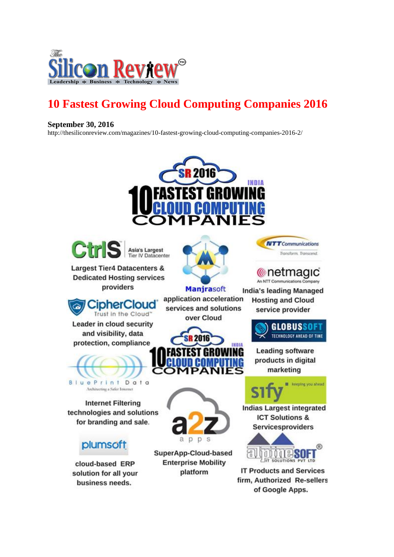

## **10 Fastest Growing Cloud Computing Companies 2016**

## **September 30, 2016**

http://thesiliconreview.com/magazines/10-fastest-growing-cloud-computing-companies-2016-2/









application acceleration

services and solutions

**NTT** Communications Transform, Transcend

## <u>ll</u> netmagic An NTT Communications Company

**India's leading Managed** 

**Hosting and Cloud** 

service provider

CipherCloud Trust in the Cloud"

**Largest Tier4 Datacenters &** 

**Dedicated Hosting services** 

providers

Leader in cloud security and visibility, data protection, compliance



**BluePrint Data** Architecting a Safer Internet

**Internet Filtering** technologies and solutions for branding and sale.

## plumsoft

cloud-based ERP solution for all your business needs.



**Leading software** products in digital marketing

**GLOBUSSOFT** 

TECHNOLOGY AHEAD OF TIME



**Indias Largest integrated ICT Solutions &** Servicesproviders



**IT Products and Services** firm, Authorized Re-sellers of Google Apps.



OMPAI

SuperApp-Cloud-based **Enterprise Mobility** platform